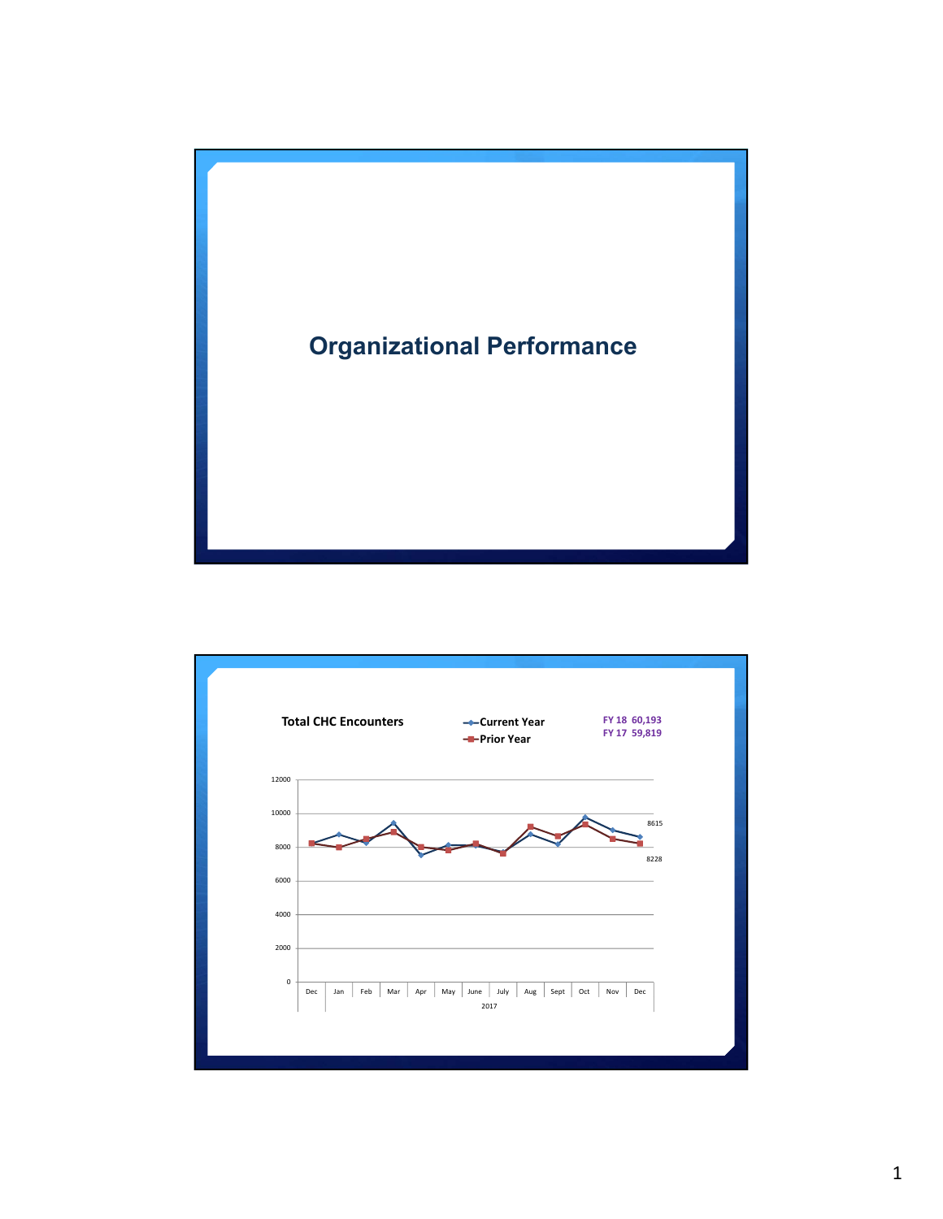

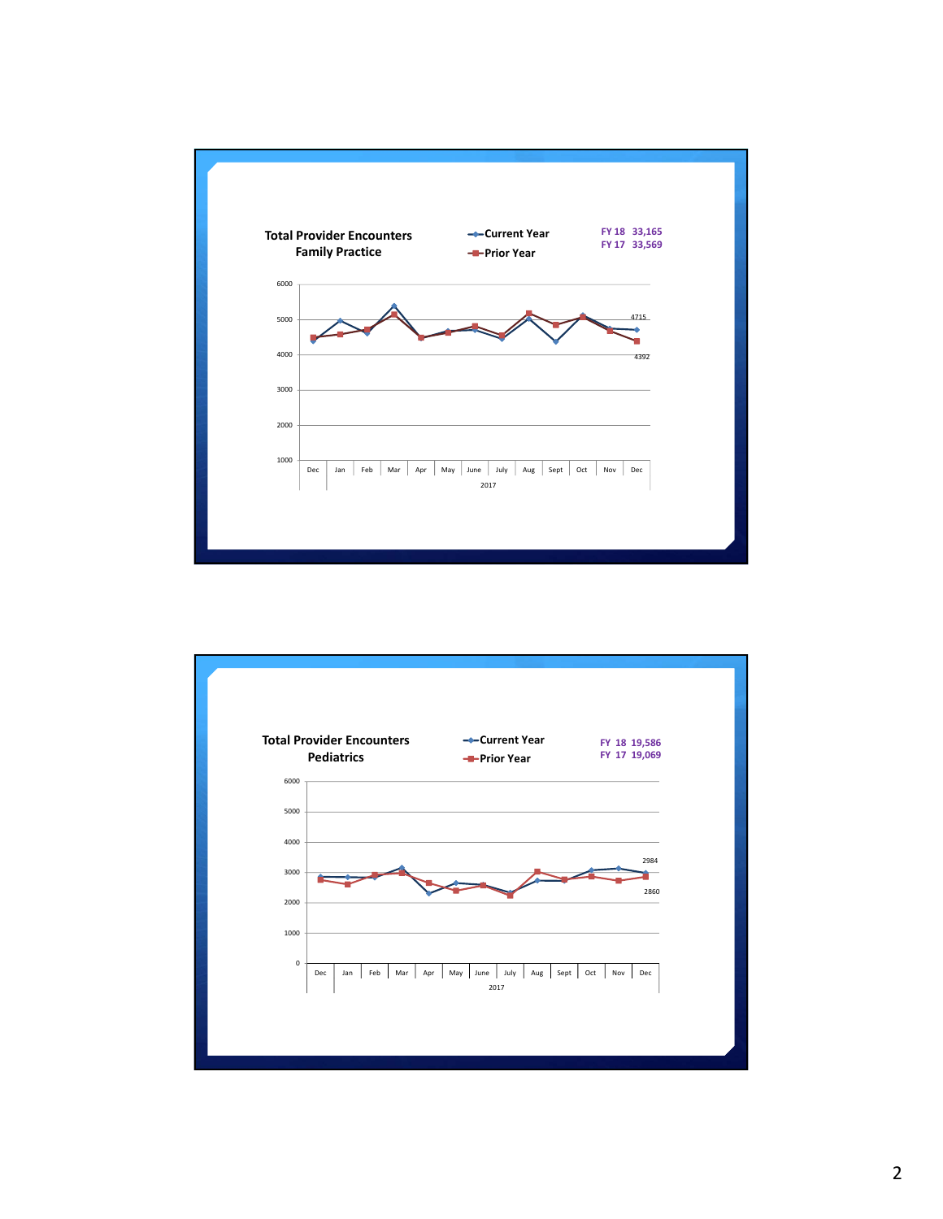

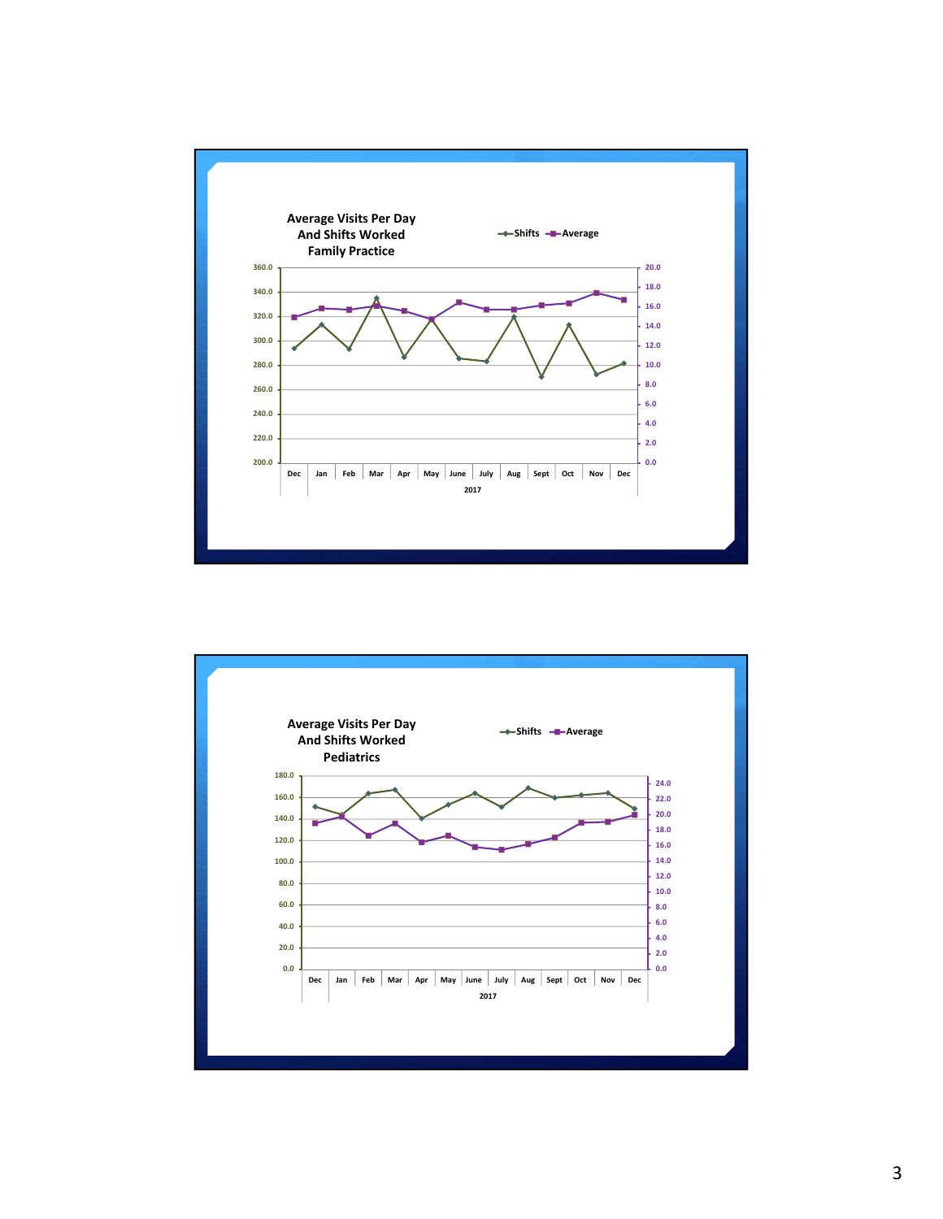

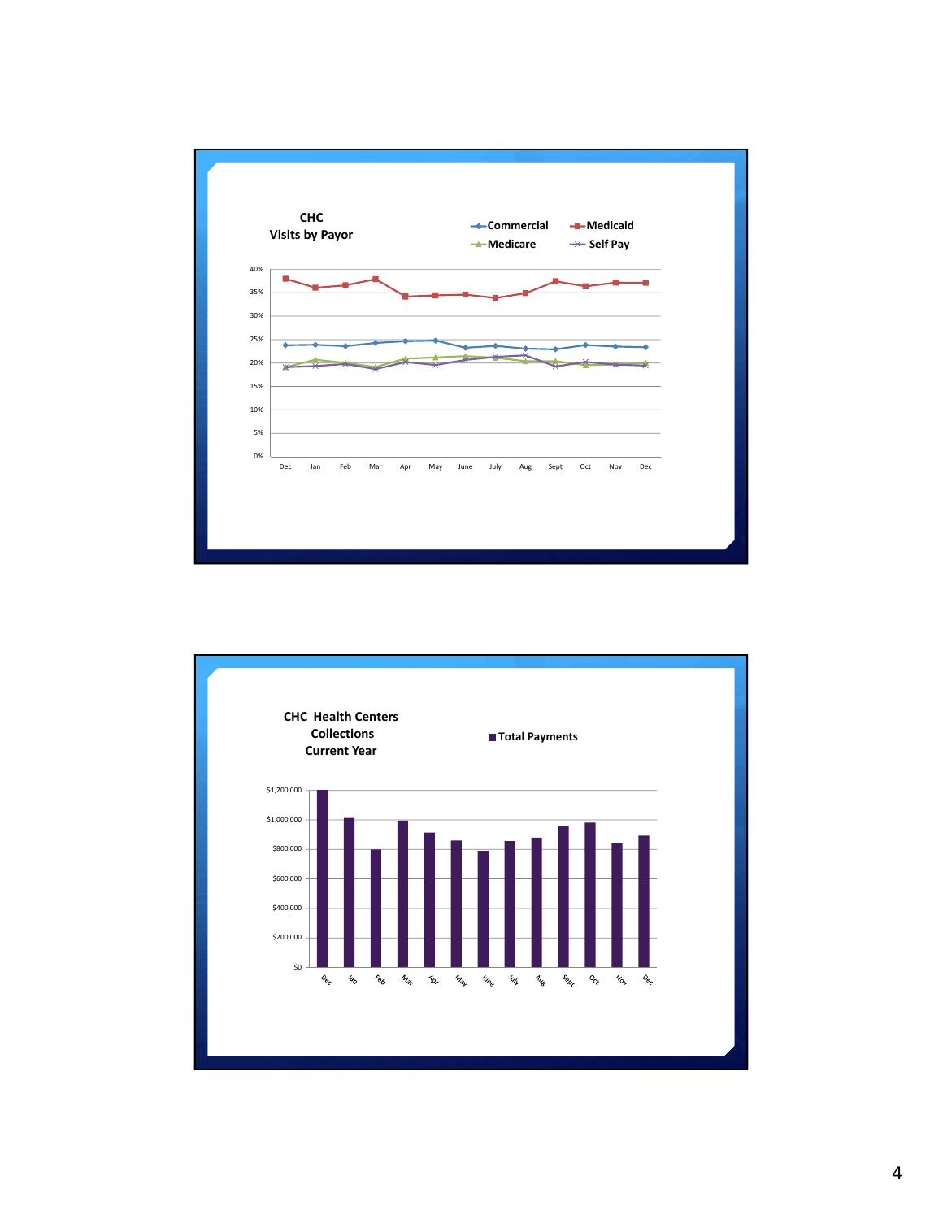

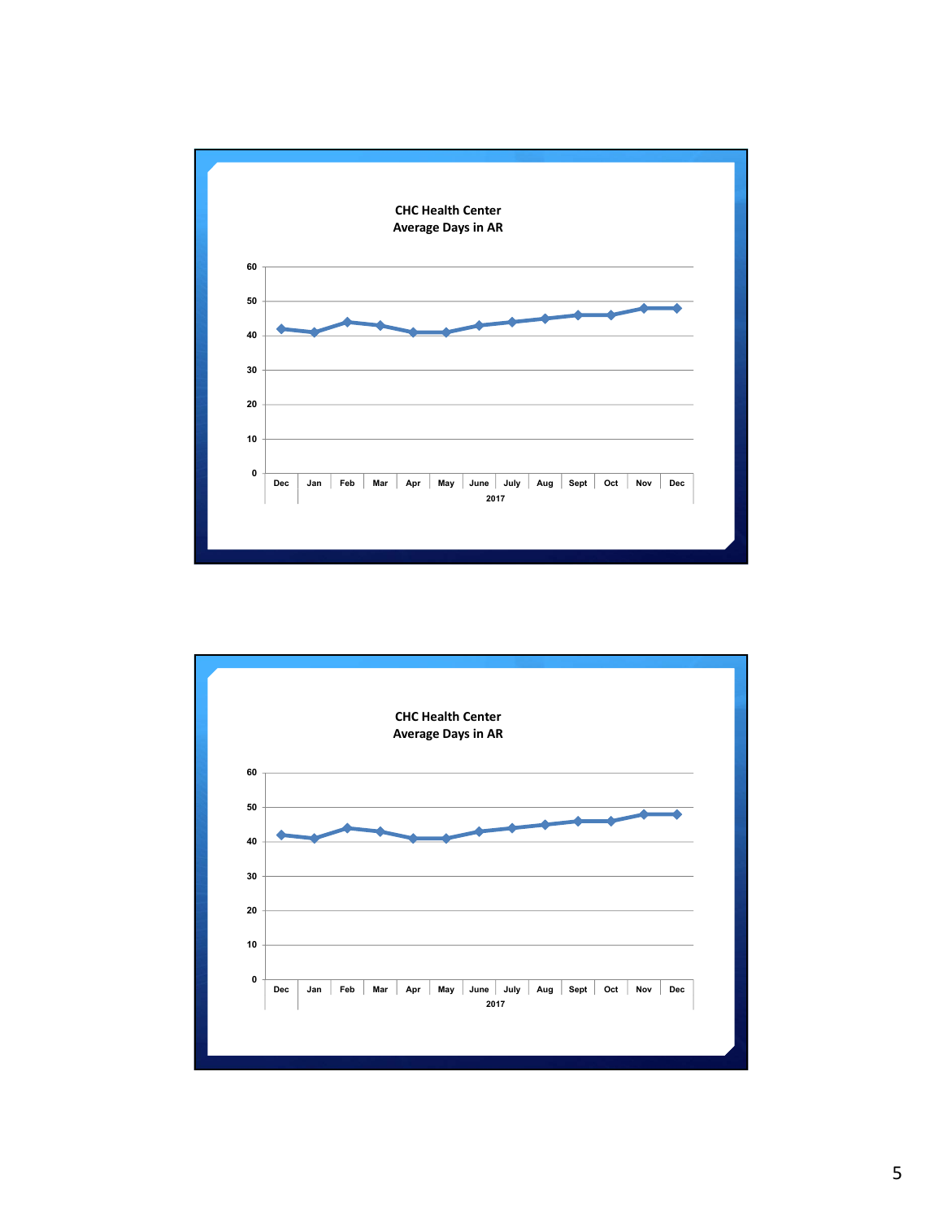

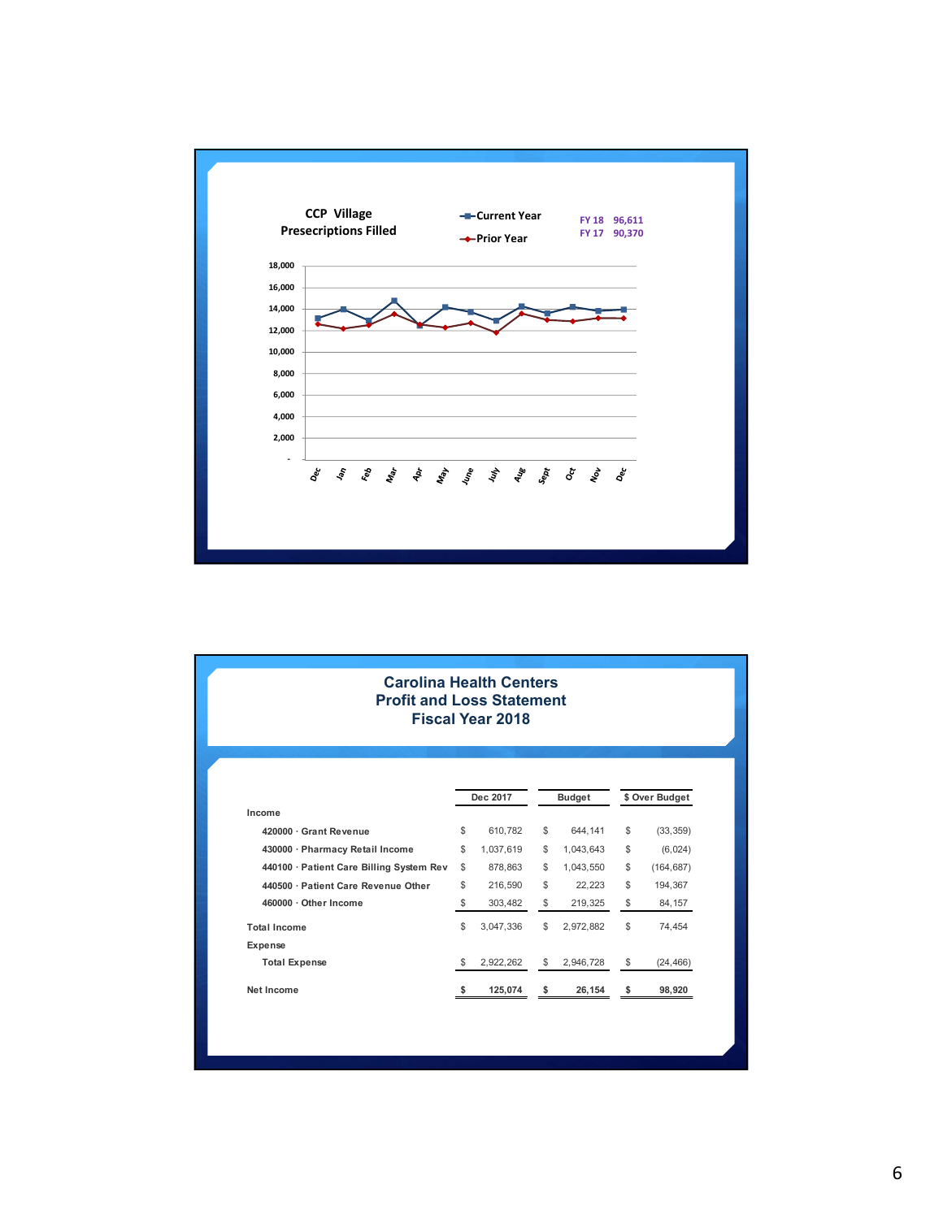

| <b>Carolina Health Centers</b><br><b>Profit and Loss Statement</b> |          | <b>Fiscal Year 2018</b> |                 |           |                 |            |
|--------------------------------------------------------------------|----------|-------------------------|-----------------|-----------|-----------------|------------|
|                                                                    | Dec 2017 |                         | <b>Budget</b>   |           | \$ Over Budget  |            |
| Income                                                             |          |                         |                 |           |                 |            |
| 420000 · Grant Revenue                                             | \$       | 610.782                 | \$              | 644.141   | \$              | (33, 359)  |
| 430000 · Pharmacy Retail Income                                    | \$       | 1,037,619               | \$              | 1,043,643 | \$              | (6,024)    |
| 440100 · Patient Care Billing System Rev                           | \$       | 878,863                 | \$              | 1,043,550 | \$              | (164, 687) |
| 440500 · Patient Care Revenue Other                                | \$       | 216,590                 | \$              | 22.223    | $$\mathbbmss{}$ | 194.367    |
| 460000 · Other Income                                              | \$       | 303,482                 | \$              | 219,325   | \$              | 84,157     |
| <b>Total Income</b>                                                | \$       | 3,047,336               | $$\mathbbmss{}$ | 2,972,882 | \$              | 74.454     |
| Expense                                                            |          |                         |                 |           |                 |            |
| <b>Total Expense</b>                                               | \$       | 2,922,262               | \$              | 2.946.728 | \$              | (24, 466)  |
| Net Income                                                         | s        | 125,074                 | \$              | 26,154    | \$              | 98,920     |
|                                                                    |          |                         |                 |           |                 |            |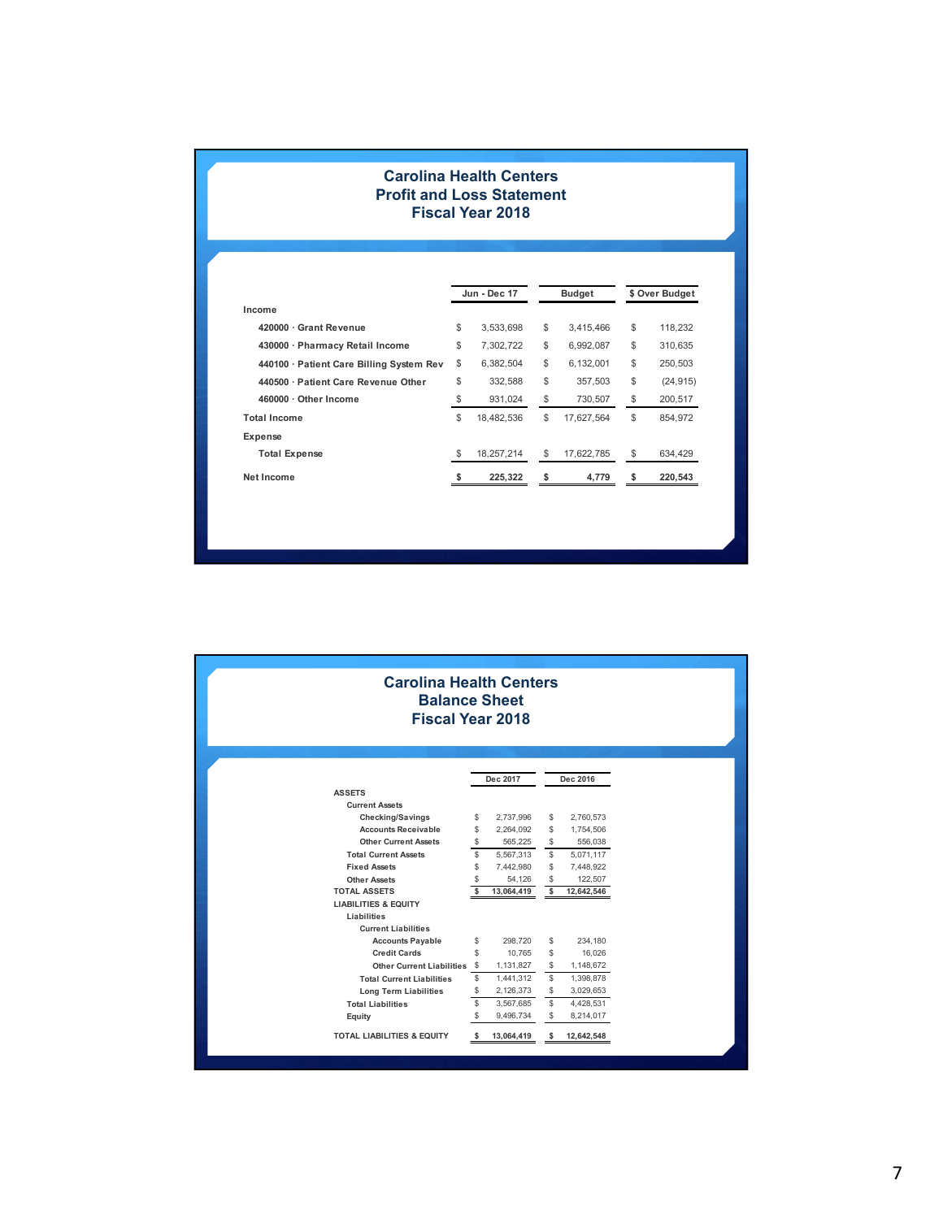## **Carolina Health Centers Profit and Loss Statement Fiscal Year 2018**

|                                          |    | Jun - Dec 17 | <b>Budget</b>    | \$ Over Budget |           |  |
|------------------------------------------|----|--------------|------------------|----------------|-----------|--|
| Income                                   |    |              |                  |                |           |  |
| 420000 · Grant Revenue                   | \$ | 3,533,698    | \$<br>3,415,466  | \$             | 118.232   |  |
| 430000 · Pharmacy Retail Income          | \$ | 7,302,722    | \$<br>6,992,087  | \$             | 310.635   |  |
| 440100 · Patient Care Billing System Rev | \$ | 6,382,504    | \$<br>6,132,001  | \$             | 250,503   |  |
| 440500 · Patient Care Revenue Other      | \$ | 332.588      | \$<br>357.503    | \$             | (24, 915) |  |
| 460000 · Other Income                    | \$ | 931,024      | \$<br>730,507    | \$             | 200,517   |  |
| <b>Total Income</b>                      | \$ | 18,482,536   | \$<br>17.627.564 | \$             | 854.972   |  |
| Expense                                  |    |              |                  |                |           |  |
| <b>Total Expense</b>                     | \$ | 18,257,214   | \$<br>17,622,785 | \$             | 634,429   |  |
| Net Income                               | s  | 225,322      | \$<br>4,779      | \$             | 220,543   |  |

|                                       | <b>Carolina Health Centers</b><br><b>Balance Sheet</b><br><b>Fiscal Year 2018</b> |            |          |            |
|---------------------------------------|-----------------------------------------------------------------------------------|------------|----------|------------|
|                                       | Dec 2017                                                                          |            | Dec 2016 |            |
| <b>ASSETS</b>                         |                                                                                   |            |          |            |
| <b>Current Assets</b>                 |                                                                                   |            |          |            |
| Checking/Savings                      | \$                                                                                | 2,737,996  | S        | 2,760,573  |
| <b>Accounts Receivable</b>            | \$                                                                                | 2,264,092  | S        | 1,754,506  |
| <b>Other Current Assets</b>           | \$                                                                                | 565.225    | \$       | 556.038    |
| <b>Total Current Assets</b>           | \$                                                                                | 5,567,313  | S        | 5,071,117  |
| <b>Fixed Assets</b>                   | \$                                                                                | 7,442,980  | \$.      | 7,448,922  |
| <b>Other Assets</b>                   | \$                                                                                | 54,126     | \$       | 122,507    |
| <b>TOTAL ASSETS</b>                   | \$                                                                                | 13,064,419 | \$       | 12,642,546 |
| <b>LIABILITIES &amp; EQUITY</b>       |                                                                                   |            |          |            |
| Liabilities                           |                                                                                   |            |          |            |
| <b>Current Liabilities</b>            |                                                                                   |            |          |            |
| <b>Accounts Payable</b>               | \$                                                                                | 298,720    | \$       | 234,180    |
| <b>Credit Cards</b>                   | \$.                                                                               | 10,765     | S        | 16,026     |
| <b>Other Current Liabilities</b>      | -S                                                                                | 1,131,827  | \$       | 1,148,672  |
| <b>Total Current Liabilities</b>      | \$                                                                                | 1,441,312  | S        | 1,398,878  |
| <b>Long Term Liabilities</b>          | \$                                                                                | 2,126,373  | \$       | 3,029,653  |
| <b>Total Liabilities</b>              | \$                                                                                | 3,567,685  | \$       | 4,428,531  |
| Equity                                | \$                                                                                | 9,496,734  | S        | 8,214,017  |
| <b>TOTAL LIABILITIES &amp; EQUITY</b> | \$                                                                                | 13,064,419 | S        | 12,642,548 |